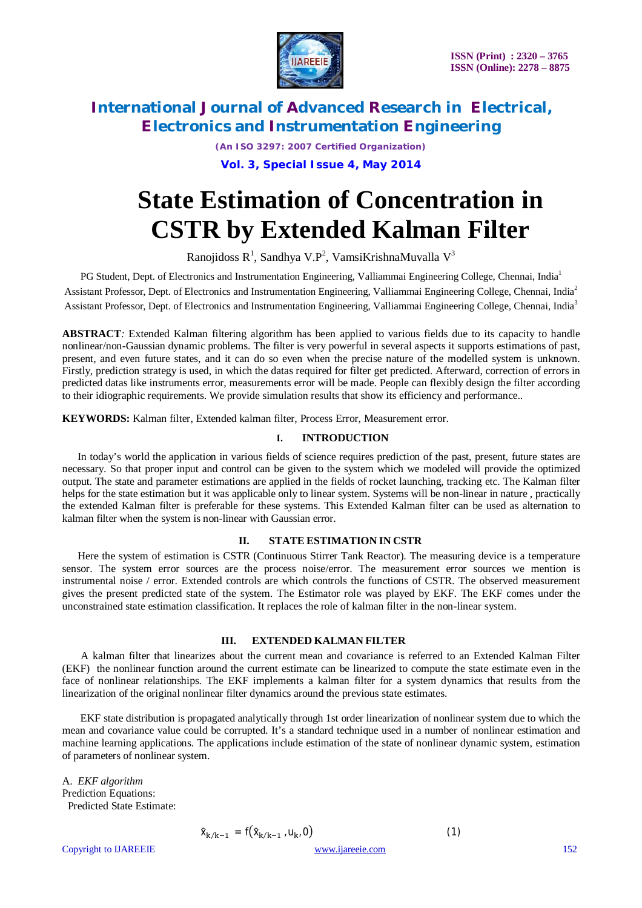

*(An ISO 3297: 2007 Certified Organization)*

**Vol. 3, Special Issue 4, May 2014**

# **State Estimation of Concentration in CSTR by Extended Kalman Filter**

Ranojidoss R<sup>1</sup>, Sandhya V.P<sup>2</sup>, VamsiKrishnaMuvalla V<sup>3</sup>

PG Student, Dept. of Electronics and Instrumentation Engineering, Valliammai Engineering College, Chennai, India<sup>1</sup> Assistant Professor, Dept. of Electronics and Instrumentation Engineering, Valliammai Engineering College, Chennai, India<sup>2</sup> Assistant Professor, Dept. of Electronics and Instrumentation Engineering, Valliammai Engineering College, Chennai, India<sup>3</sup>

**ABSTRACT***:* Extended Kalman filtering algorithm has been applied to various fields due to its capacity to handle nonlinear/non-Gaussian dynamic problems. The filter is very powerful in several aspects it supports estimations of past, present, and even future states, and it can do so even when the precise nature of the modelled system is unknown. Firstly, prediction strategy is used, in which the datas required for filter get predicted. Afterward, correction of errors in predicted datas like instruments error, measurements error will be made. People can flexibly design the filter according to their idiographic requirements. We provide simulation results that show its efficiency and performance..

**KEYWORDS:** Kalman filter, Extended kalman filter, Process Error, Measurement error.

### **I. INTRODUCTION**

In today's world the application in various fields of science requires prediction of the past, present, future states are necessary. So that proper input and control can be given to the system which we modeled will provide the optimized output. The state and parameter estimations are applied in the fields of rocket launching, tracking etc. The Kalman filter helps for the state estimation but it was applicable only to linear system. Systems will be non-linear in nature , practically the extended Kalman filter is preferable for these systems. This Extended Kalman filter can be used as alternation to kalman filter when the system is non-linear with Gaussian error.

### **II. STATE ESTIMATION IN CSTR**

Here the system of estimation is CSTR (Continuous Stirrer Tank Reactor). The measuring device is a temperature sensor. The system error sources are the process noise/error. The measurement error sources we mention is instrumental noise / error. Extended controls are which controls the functions of CSTR. The observed measurement gives the present predicted state of the system. The Estimator role was played by EKF. The EKF comes under the unconstrained state estimation classification. It replaces the role of kalman filter in the non-linear system.

### **III. EXTENDED KALMAN FILTER**

 A kalman filter that linearizes about the current mean and covariance is referred to an Extended Kalman Filter (EKF) the nonlinear function around the current estimate can be linearized to compute the state estimate even in the face of nonlinear relationships. The EKF implements a kalman filter for a system dynamics that results from the linearization of the original nonlinear filter dynamics around the previous state estimates.

 EKF state distribution is propagated analytically through 1st order linearization of nonlinear system due to which the mean and covariance value could be corrupted. It's a standard technique used in a number of nonlinear estimation and machine learning applications. The applications include estimation of the state of nonlinear dynamic system, estimation of parameters of nonlinear system.

A. *EKF algorithm* Prediction Equations: Predicted State Estimate:

$$
\hat{x}_{k/k-1} = f(\hat{x}_{k/k-1}, u_{k},
$$

Copyright to IJAREEIE www.ijareeie.com 152

$$
f(\hat{x}_{k/k-1}, u_k, 0) \tag{1}
$$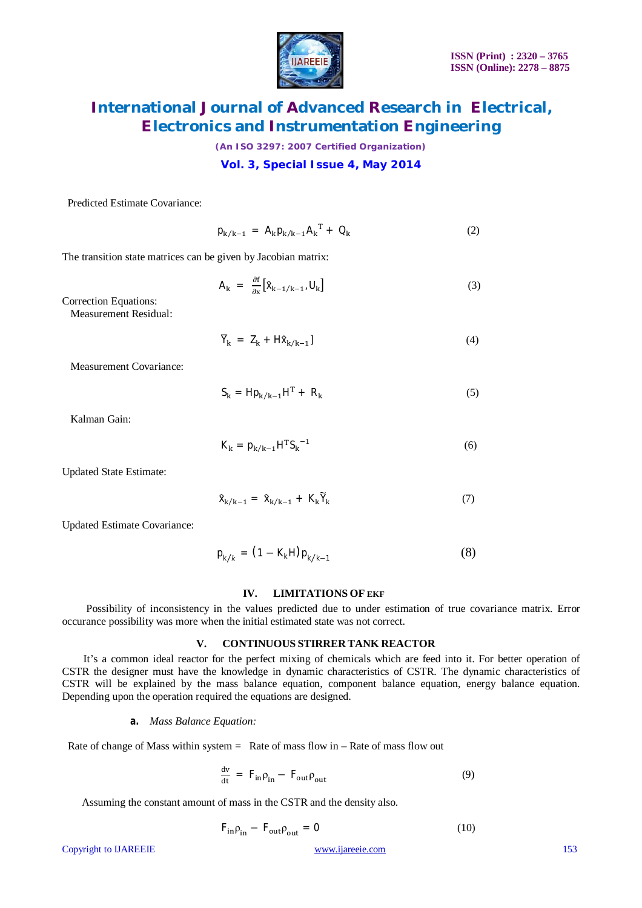

*(An ISO 3297: 2007 Certified Organization)*

### **Vol. 3, Special Issue 4, May 2014**

Predicted Estimate Covariance:

$$
p_{k/k-1} = A_k p_{k/k-1} A_k^T + Q_k \tag{2}
$$

The transition state matrices can be given by Jacobian matrix:

$$
A_k = \frac{\partial f}{\partial x} \left[ \hat{X}_{k-1/k-1}, U_k \right] \tag{3}
$$

Correction Equations: Measurement Residual:

$$
\overline{Y}_k = Z_k + H\hat{X}_{k/k-1} \tag{4}
$$

Measurement Covariance:

$$
S_k = H p_{k/k-1} H^T + R_k \tag{5}
$$

Kalman Gain:

$$
K_{k} = p_{k/k-1}H^{T}S_{k}^{-1}
$$
 (6)

Updated State Estimate:

$$
\hat{X}_{k/k-1} = \hat{X}_{k/k-1} + K_k \tilde{Y}_k \tag{7}
$$

Updated Estimate Covariance:

$$
p_{k/k} = (1 - K_k H) p_{k/k-1}
$$
 (8)

### **IV. LIMITATIONS OF EKF**

 Possibility of inconsistency in the values predicted due to under estimation of true covariance matrix. Error occurance possibility was more when the initial estimated state was not correct.

### **V. CONTINUOUS STIRRER TANK REACTOR**

 It's a common ideal reactor for the perfect mixing of chemicals which are feed into it. For better operation of CSTR the designer must have the knowledge in dynamic characteristics of CSTR. The dynamic characteristics of CSTR will be explained by the mass balance equation, component balance equation, energy balance equation. Depending upon the operation required the equations are designed.

#### *a. Mass Balance Equation:*

Rate of change of Mass within system  $=$  Rate of mass flow in  $-$  Rate of mass flow out

$$
\frac{dv}{dt} = F_{in} \rho_{in} - F_{out} \rho_{out}
$$
 (9)

Assuming the constant amount of mass in the CSTR and the density also.

$$
F_{in} \rho_{in} - F_{out} \rho_{out} = 0 \tag{10}
$$

Copyright to IJAREEIE www.ijareeie.com 153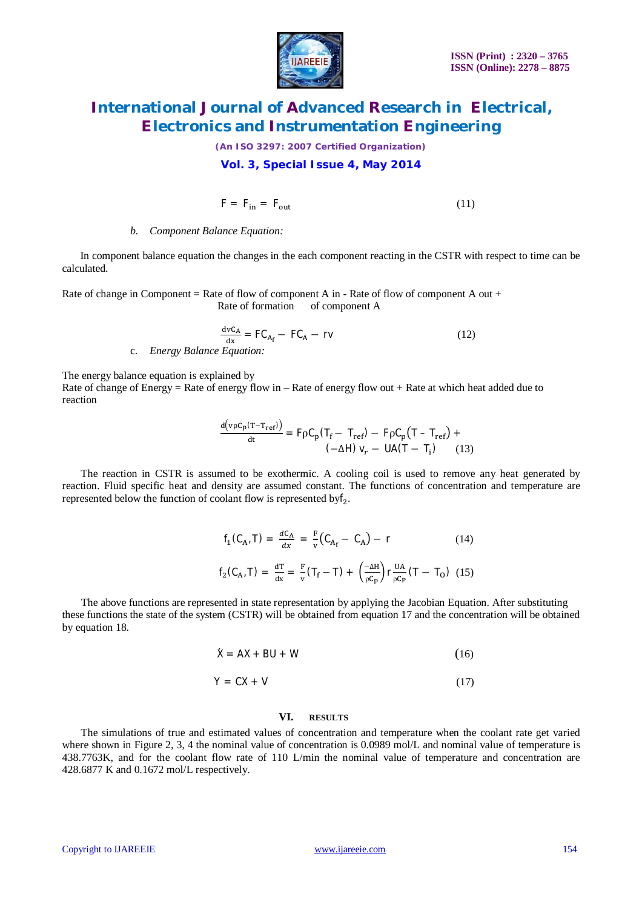

*(An ISO 3297: 2007 Certified Organization)*

### **Vol. 3, Special Issue 4, May 2014**

$$
F = F_{in} = F_{out} \tag{11}
$$

### *b. Component Balance Equation:*

In component balance equation the changes in the each component reacting in the CSTR with respect to time can be calculated.

Rate of change in Component = Rate of flow of component A in - Rate of flow of component A out + Rate of formation of component A

$$
\frac{d v C_A}{dx} = FC_{A_f} - FC_A - rv
$$
\nc. Energy Balance Equation: (12)

The energy balance equation is explained by

Rate of change of Energy = Rate of energy flow in – Rate of energy flow out + Rate at which heat added due to reaction

$$
\frac{d(v\rho C_p(T - T_{ref}))}{dt} = F\rho C_p(T_f - T_{ref}) - F\rho C_p(T - T_{ref}) +
$$
  

$$
(-\Delta H) v_r - UA(T - T_i)
$$
 (13)

 The reaction in CSTR is assumed to be exothermic. A cooling coil is used to remove any heat generated by reaction. Fluid specific heat and density are assumed constant. The functions of concentration and temperature are represented below the function of coolant flow is represented by  $f_2$ .

$$
f_1(C_{A'}T) = \frac{dC_A}{dx} = \frac{F}{v}(C_{A_f} - C_A) - r
$$
(14)  

$$
f_2(C_{A'}T) = \frac{dT}{dx} = \frac{F}{v}(T_f - T) + \left(\frac{-\Delta H}{\rho C_p}\right)r\frac{UA}{\rho C_p}(T - T_0)
$$
(15)

 The above functions are represented in state representation by applying the Jacobian Equation. After substituting these functions the state of the system (CSTR) will be obtained from equation 17 and the concentration will be obtained by equation 18.

$$
\dot{X} = AX + BU + W \tag{16}
$$

$$
Y = CX + V \tag{17}
$$

### **VI. RESULTS**

 The simulations of true and estimated values of concentration and temperature when the coolant rate get varied where shown in Figure 2, 3, 4 the nominal value of concentration is 0.0989 mol/L and nominal value of temperature is 438.7763K, and for the coolant flow rate of 110 L/min the nominal value of temperature and concentration are 428.6877 K and 0.1672 mol/L respectively.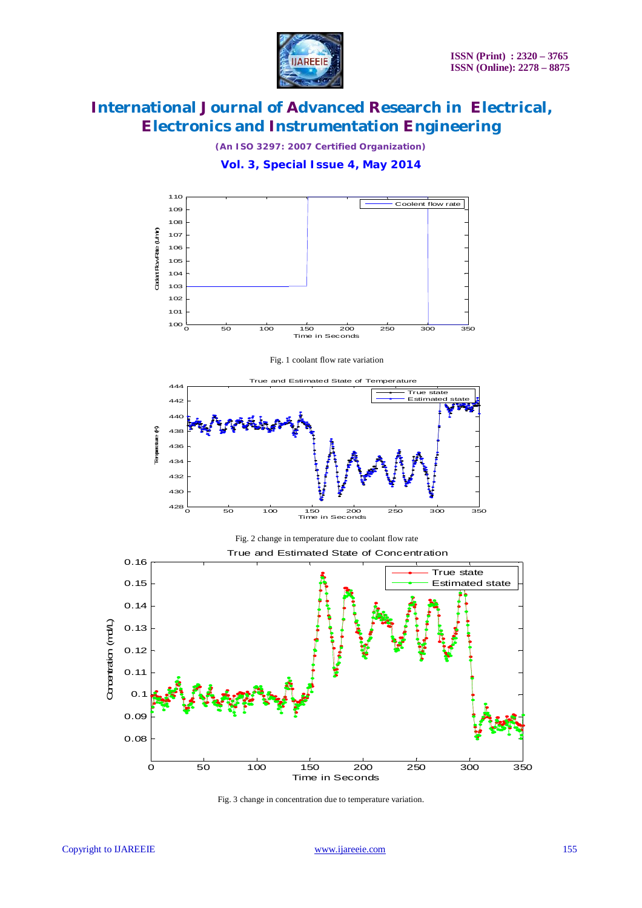

*(An ISO 3297: 2007 Certified Organization)*





Fig. 3 change in concentration due to temperature variation.